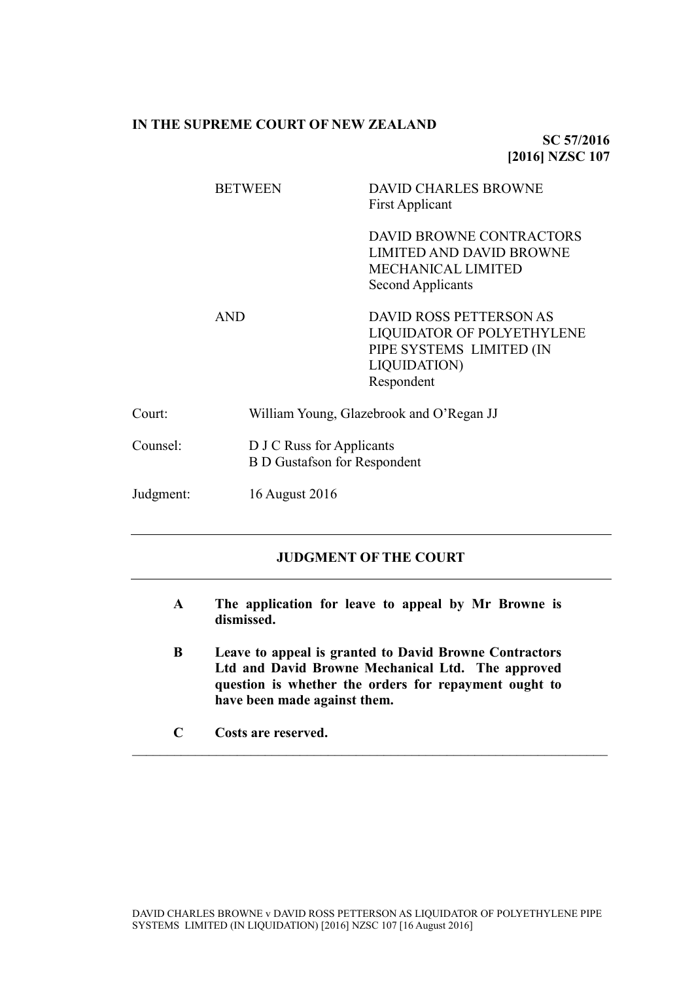### **IN THE SUPREME COURT OF NEW ZEALAND**

**SC 57/2016 [2016] NZSC 107**

|           | <b>BETWEEN</b> | <b>DAVID CHARLES BROWNE</b><br><b>First Applicant</b>                                                                         |  |
|-----------|----------------|-------------------------------------------------------------------------------------------------------------------------------|--|
|           |                | DAVID BROWNE CONTRACTORS<br><b>LIMITED AND DAVID BROWNE</b><br><b>MECHANICAL LIMITED</b><br>Second Applicants                 |  |
|           | <b>AND</b>     | <b>DAVID ROSS PETTERSON AS</b><br>LIQUIDATOR OF POLYETHYLENE<br>PIPE SYSTEMS LIMITED (IN<br><b>LIQUIDATION)</b><br>Respondent |  |
| Court:    |                | William Young, Glazebrook and O'Regan JJ                                                                                      |  |
| Counsel:  |                | D J C Russ for Applicants<br><b>B D Gustafson for Respondent</b>                                                              |  |
| Judgment: | 16 August 2016 |                                                                                                                               |  |

# **JUDGMENT OF THE COURT**

- **A The application for leave to appeal by Mr Browne is dismissed.**
- **B Leave to appeal is granted to David Browne Contractors Ltd and David Browne Mechanical Ltd. The approved question is whether the orders for repayment ought to have been made against them.**

 $\mathcal{L}_\mathcal{L} = \{ \mathcal{L}_\mathcal{L} = \{ \mathcal{L}_\mathcal{L} = \{ \mathcal{L}_\mathcal{L} = \{ \mathcal{L}_\mathcal{L} = \{ \mathcal{L}_\mathcal{L} = \{ \mathcal{L}_\mathcal{L} = \{ \mathcal{L}_\mathcal{L} = \{ \mathcal{L}_\mathcal{L} = \{ \mathcal{L}_\mathcal{L} = \{ \mathcal{L}_\mathcal{L} = \{ \mathcal{L}_\mathcal{L} = \{ \mathcal{L}_\mathcal{L} = \{ \mathcal{L}_\mathcal{L} = \{ \mathcal{L}_\mathcal{$ 

**C Costs are reserved.**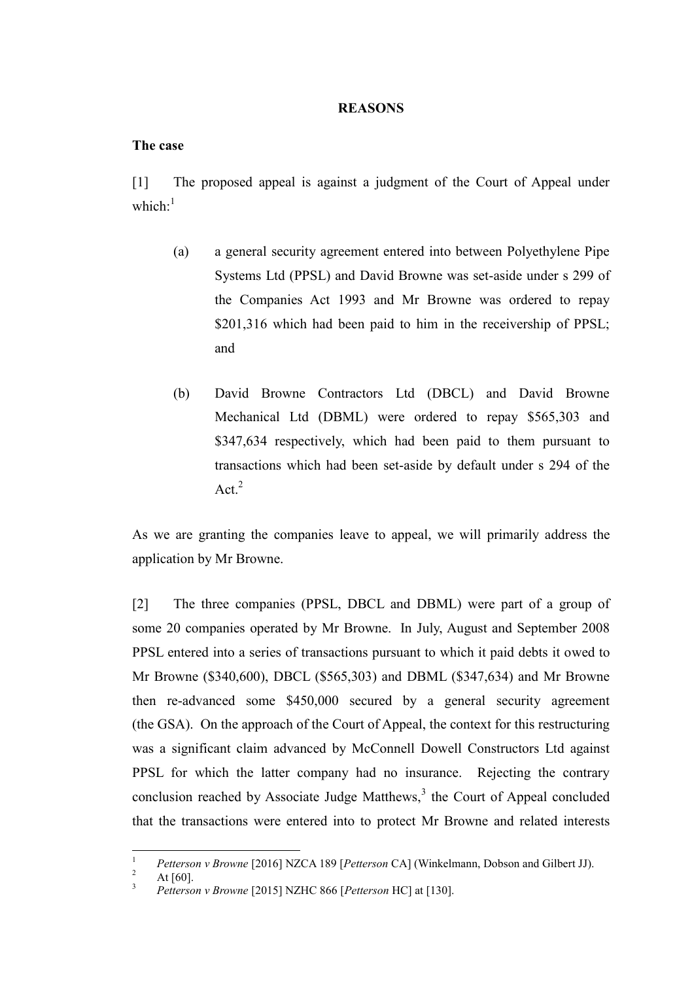#### **REASONS**

### **The case**

<span id="page-1-1"></span>[1] The proposed appeal is against a judgment of the Court of Appeal under which $^{-1}$ 

- (a) a general security agreement entered into between Polyethylene Pipe Systems Ltd (PPSL) and David Browne was set-aside under s 299 of the Companies Act 1993 and Mr Browne was ordered to repay \$201,316 which had been paid to him in the receivership of PPSL; and
- (b) David Browne Contractors Ltd (DBCL) and David Browne Mechanical Ltd (DBML) were ordered to repay \$565,303 and \$347,634 respectively, which had been paid to them pursuant to transactions which had been set-aside by default under s 294 of the Act. $^{2}$

As we are granting the companies leave to appeal, we will primarily address the application by Mr Browne.

[2] The three companies (PPSL, DBCL and DBML) were part of a group of some 20 companies operated by Mr Browne. In July, August and September 2008 PPSL entered into a series of transactions pursuant to which it paid debts it owed to Mr Browne (\$340,600), DBCL (\$565,303) and DBML (\$347,634) and Mr Browne then re-advanced some \$450,000 secured by a general security agreement (the GSA). On the approach of the Court of Appeal, the context for this restructuring was a significant claim advanced by McConnell Dowell Constructors Ltd against PPSL for which the latter company had no insurance. Rejecting the contrary conclusion reached by Associate Judge Matthews, $3$  the Court of Appeal concluded that the transactions were entered into to protect Mr Browne and related interests

<span id="page-1-0"></span> $\,1\,$ <sup>1</sup> *Petterson v Browne* [2016] NZCA 189 [*Petterson* CA] (Winkelmann, Dobson and Gilbert JJ).

At  $[60]$ .

<sup>3</sup> *Petterson v Browne* [2015] NZHC 866 [*Petterson* HC] at [130].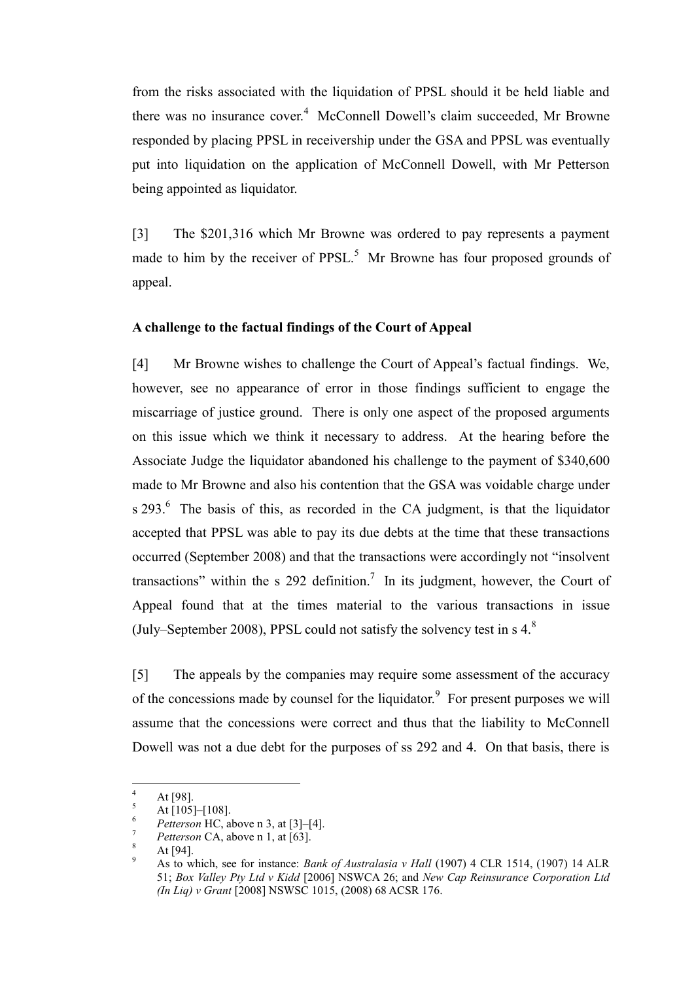from the risks associated with the liquidation of PPSL should it be held liable and there was no insurance cover.<sup>4</sup> McConnell Dowell's claim succeeded, Mr Browne responded by placing PPSL in receivership under the GSA and PPSL was eventually put into liquidation on the application of McConnell Dowell, with Mr Petterson being appointed as liquidator.

[3] The \$201,316 which Mr Browne was ordered to pay represents a payment made to him by the receiver of  $PPSL<sup>5</sup>$ . Mr Browne has four proposed grounds of appeal.

#### **A challenge to the factual findings of the Court of Appeal**

<span id="page-2-0"></span>[4] Mr Browne wishes to challenge the Court of Appeal's factual findings. We, however, see no appearance of error in those findings sufficient to engage the miscarriage of justice ground. There is only one aspect of the proposed arguments on this issue which we think it necessary to address. At the hearing before the Associate Judge the liquidator abandoned his challenge to the payment of \$340,600 made to Mr Browne and also his contention that the GSA was voidable charge under s  $293<sup>6</sup>$  The basis of this, as recorded in the CA judgment, is that the liquidator accepted that PPSL was able to pay its due debts at the time that these transactions occurred (September 2008) and that the transactions were accordingly not "insolvent transactions" within the s 292 definition.<sup>7</sup> In its judgment, however, the Court of Appeal found that at the times material to the various transactions in issue (July–September 2008), PPSL could not satisfy the solvency test in  $s$  4. $8$ 

<span id="page-2-1"></span>[5] The appeals by the companies may require some assessment of the accuracy of the concessions made by counsel for the liquidator.<sup>9</sup> For present purposes we will assume that the concessions were correct and thus that the liability to McConnell Dowell was not a due debt for the purposes of ss 292 and 4. On that basis, there is

 $\overline{4}$  $4$  At [98].

 $^{5}$  At [105]-[108].

<sup>&</sup>lt;sup>6</sup> *Petterson* HC, above n [3,](#page-1-0) at  $[3]-[4]$ .

*Petterson* CA, above n [1,](#page-1-1) at [63].

At [94].

<sup>9</sup> As to which, see for instance: *Bank of Australasia v Hall* (1907) 4 CLR 1514, (1907) 14 ALR 51; *Box Valley Pty Ltd v Kidd* [2006] NSWCA 26; and *New Cap Reinsurance Corporation Ltd (In Liq) v Grant* [2008] NSWSC 1015, (2008) 68 ACSR 176.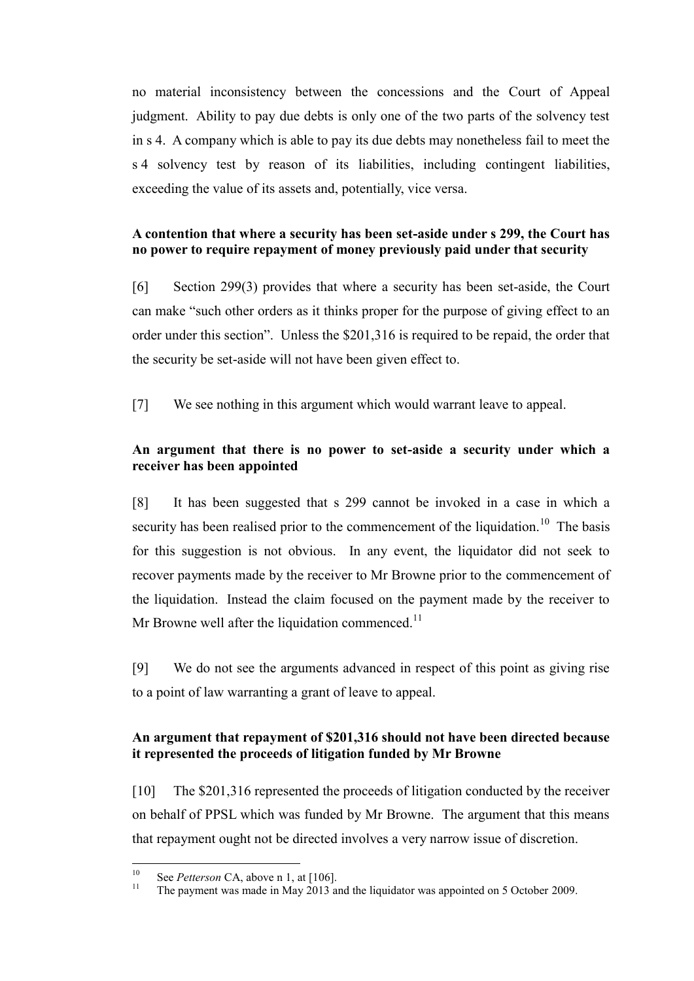no material inconsistency between the concessions and the Court of Appeal judgment. Ability to pay due debts is only one of the two parts of the solvency test in s 4. A company which is able to pay its due debts may nonetheless fail to meet the s 4 solvency test by reason of its liabilities, including contingent liabilities, exceeding the value of its assets and, potentially, vice versa.

# **A contention that where a security has been set-aside under s 299, the Court has no power to require repayment of money previously paid under that security**

[6] Section 299(3) provides that where a security has been set-aside, the Court can make "such other orders as it thinks proper for the purpose of giving effect to an order under this section". Unless the \$201,316 is required to be repaid, the order that the security be set-aside will not have been given effect to.

[7] We see nothing in this argument which would warrant leave to appeal.

# **An argument that there is no power to set-aside a security under which a receiver has been appointed**

[8] It has been suggested that s 299 cannot be invoked in a case in which a security has been realised prior to the commencement of the liquidation.<sup>10</sup> The basis for this suggestion is not obvious. In any event, the liquidator did not seek to recover payments made by the receiver to Mr Browne prior to the commencement of the liquidation. Instead the claim focused on the payment made by the receiver to Mr Browne well after the liquidation commenced.<sup>11</sup>

[9] We do not see the arguments advanced in respect of this point as giving rise to a point of law warranting a grant of leave to appeal.

# **An argument that repayment of \$201,316 should not have been directed because it represented the proceeds of litigation funded by Mr Browne**

[10] The \$201,316 represented the proceeds of litigation conducted by the receiver on behalf of PPSL which was funded by Mr Browne. The argument that this means that repayment ought not be directed involves a very narrow issue of discretion.

 $10$ <sup>10</sup> See *Petterson* CA, above n [1,](#page-1-1) at [106].

The payment was made in May 2013 and the liquidator was appointed on 5 October 2009.